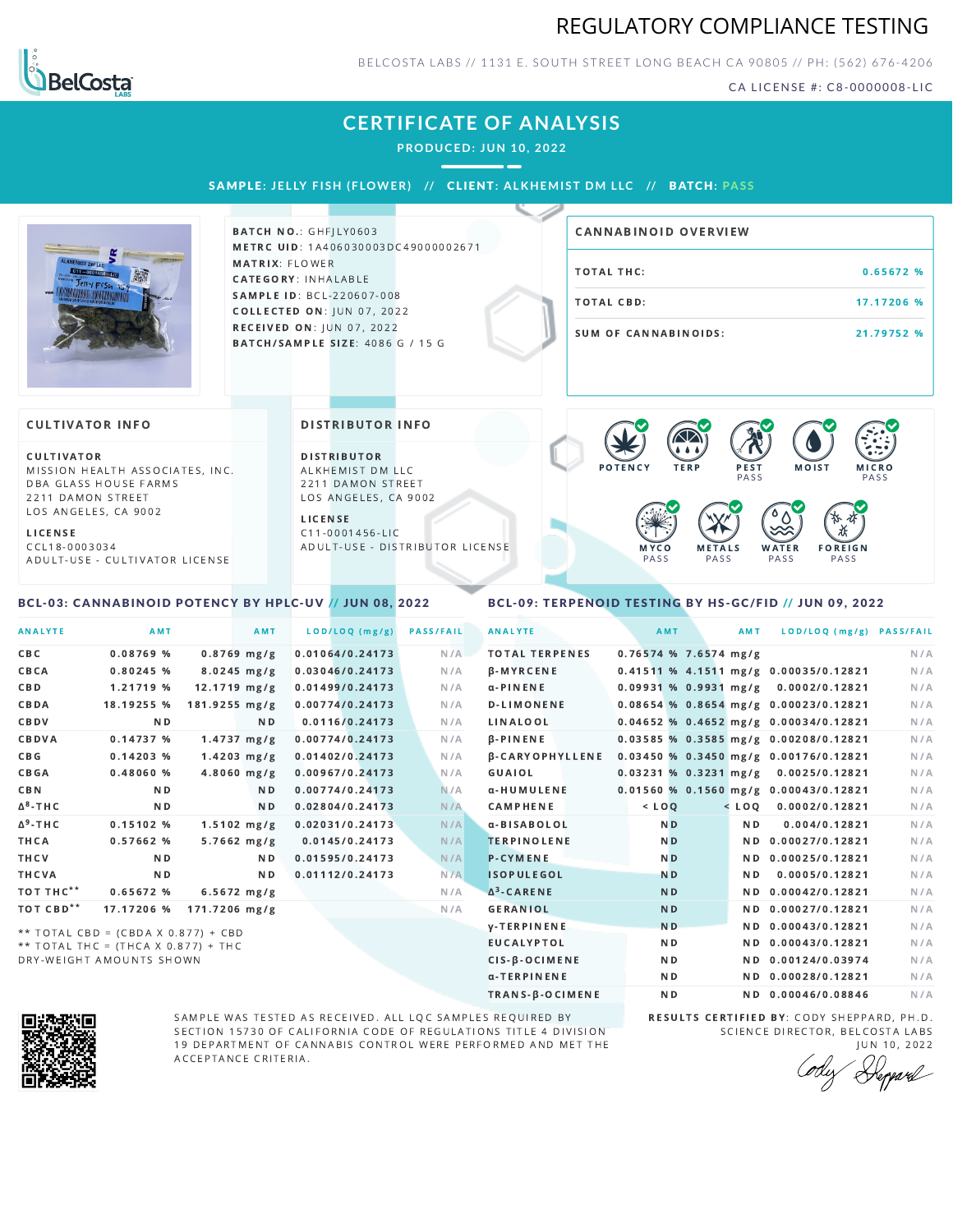# REGULATORY COMPLIANCE TESTING



BELCOSTA LABS // 1131 E. SOUTH STREET LONG BEACH C A 90805 // PH: (562) 676-4206

CA LICENSE #: C8-0000008-LIC

# **CERTIFICATE OF ANALYSIS**

**PRODUCED: JUN 10, 2022**

SAMPLE: JELLY FISH (FLOWER) // CLIENT: ALKHEMIST DM LLC // BATCH: PASS



**BATCH NO.: GHFILY0603** METRC UID: 1A406030003DC49000002671 MATRIX: FLOWER CATEGORY: INHALABLE SAMPLE ID: BCL-220607-008 **COLLECTED ON: JUN 07, 2022** RECEIVED ON: JUN 07, 2022 BATCH/SAMPLE SIZE: 4086 G / 15 G

# TOTAL THC: 0.65672 % TOTAL CBD: 17.17206 % SUM OF CANNABINOIDS: 21.79752 % CANNABINOID OVERVIEW

#### **CULTIVATOR INFO**

CULTIVATOR MISSION HEALTH ASSOCIATES, INC. DBA GLASS HOUSE FARMS 2211 DAMON STREET LOS ANGELES, CA 9002

L I C E N S E C C L 1 8 - 0 0 0 3 0 3 4 A D U L T - U S E - C U L T I V A T O R L I CENSE

<span id="page-0-0"></span>BCL-03: CANNABINOID POTENCY BY HPLC-UV // JUN 08, 2022

DISTRIBUTOR INFO

D I STRIBUTOR ALKHEMIST DM LLC 2211 DAMON STREET LOS ANGELES, CA 9002

L I C E N S E C 1 1 - 0 0 0 1 4 5 6 - L I C A D U L T - U S E - D I STRIBUTOR LICENSE



#### <span id="page-0-1"></span>BCL-09: TERPENOID TESTING BY HS-GC/FID // JUN 09, 2022

| <b>ANALYTE</b>        | AMT                                                                        |                         | AMT                     | LOD/LOQ (mg/g)  | <b>PASS/FAIL</b> | <b>ANALYTE</b>         |         | AMT                     | AMT            | LOD/LOQ (mg/g) PASS/FAIL                |     |
|-----------------------|----------------------------------------------------------------------------|-------------------------|-------------------------|-----------------|------------------|------------------------|---------|-------------------------|----------------|-----------------------------------------|-----|
| <b>CBC</b>            | 0.08769%                                                                   |                         | $0.8769$ mg/g           | 0.01064/0.24173 | N/A              | <b>TOTAL TERPENES</b>  |         | $0.76574$ % 7.6574 mg/g |                |                                         | N/A |
| CBCA                  | $0.80245$ %                                                                |                         | $8.0245 \, \text{mg/g}$ | 0.03046/0.24173 | N/A              | <b>B-MYRCENE</b>       |         |                         |                | 0.41511 % 4.1511 mg/g 0.00035/0.12821   | N/A |
| <b>CBD</b>            | 1.21719 %                                                                  | $12.1719$ mg/g          |                         | 0.01499/0.24173 | N/A              | $\alpha$ -PINENE       |         |                         |                | 0.09931 % 0.9931 mg/g 0.0002/0.12821    | N/A |
| CBDA                  | 18.19255 %                                                                 | $181.9255 \text{ mg/g}$ |                         | 0.00774/0.24173 | N/A              | <b>D-LIMONENE</b>      |         |                         |                | 0.08654 % 0.8654 mg/g 0.00023/0.12821   | N/A |
| CBDV                  | ND.                                                                        |                         | N D                     | 0.0116/0.24173  | N/A              | LINALOOL               |         |                         |                | 0.04652 % 0.4652 mg/g 0.00034/0.12821   | N/A |
| CBDVA                 | 0.14737%                                                                   |                         | $1.4737 \, mg/g$        | 0.00774/0.24173 | N/A              | <b>B-PINENE</b>        |         |                         |                | 0.03585 % 0.3585 mg/g 0.00208/0.12821   | N/A |
| <b>CBG</b>            | 0.14203%                                                                   |                         | $1.4203$ mg/g           | 0.01402/0.24173 | N/A              | <b>B-CARYOPHYLLENE</b> |         |                         |                | 0.03450 % 0.3450 mg/g 0.00176/0.12821   | N/A |
| <b>CBGA</b>           | 0.48060%                                                                   |                         | $4.8060$ mg/g           | 0.00967/0.24173 | N/A              | GUAIOL                 |         |                         |                | 0.03231 % 0.3231 mg/g 0.0025/0.12821    | N/A |
| CBN                   | N <sub>D</sub>                                                             |                         | N D                     | 0.00774/0.24173 | N/A              | α-HUMULENE             |         |                         |                | $0.01560$ % 0.1560 mg/g 0.00043/0.12821 | N/A |
| $\Delta^8$ -THC       | ND.                                                                        |                         | ND.                     | 0.02804/0.24173 | N/A              | <b>CAMPHENE</b>        | $<$ LOQ |                         |                | $<$ LOQ 0.0002/0.12821                  | N/A |
| $\Delta^9$ -THC       | 0.15102%                                                                   |                         | $1.5102$ mg/g           | 0.02031/0.24173 | N/A              | α-BISABOLOL            |         | N <sub>D</sub>          | N <sub>D</sub> | 0.004/0.12821                           | N/A |
| THCA                  | 0.57662 %                                                                  |                         | $5.7662 \, mg/g$        | 0.0145/0.24173  | N/A              | <b>TERPINOLENE</b>     |         | N <sub>D</sub>          |                | ND 0.00027/0.12821                      | N/A |
| THCV                  | N <sub>D</sub>                                                             |                         | ND.                     | 0.01595/0.24173 | N/A              | <b>P-CYMENE</b>        |         | N <sub>D</sub>          |                | ND 0.00025/0.12821                      | N/A |
| THCVA                 | ND.                                                                        |                         | ND.                     | 0.01112/0.24173 | N/A              | <b>ISOPULEGOL</b>      |         | N <sub>D</sub>          | N D            | 0.0005/0.12821                          | N/A |
| TOT THC**             | 0.65672%                                                                   |                         | $6.5672$ mg/g           |                 | N/A              | $\Delta^3$ -CARENE     |         | N <sub>D</sub>          |                | ND 0.00042/0.12821                      | N/A |
| TOT CBD <sup>**</sup> | 17.17206 %                                                                 | $171.7206$ mg/g         |                         |                 | N/A              | <b>GERANIOL</b>        |         | N <sub>D</sub>          |                | ND 0.00027/0.12821                      | N/A |
|                       |                                                                            |                         |                         |                 |                  | <b>y-TERPINENE</b>     |         | N <sub>D</sub>          |                | ND 0.00043/0.12821                      | N/A |
|                       | ** TOTAL CBD = (CBDA X 0.877) + CBD<br>** TOTAL THC = (THCA X 0.877) + THC |                         |                         |                 |                  | <b>EUCALYPTOL</b>      |         | N <sub>D</sub>          |                | ND 0.00043/0.12821                      | N/A |

 $**$  TOTAL THC = (THCA X 0.877) + THC DRY-WEIGHT AMOUNTS SHOWN



SAMPLE WAS TESTED AS RECEIVED. ALL LQC SAMPLES REQUIRED BY SECTION 15730 OF CALIFORNIA CODE OF REGULATIONS TITLE 4 DIVISION 19 DEPARTMENT OF CANNABIS CONTROL WERE PERFORMED AND MET THE A C C E P T A N C E C R I T E R I A.

RESULTS CERTIFIED BY: CODY SHEPPARD, PH.D. SCIENCE DIRECTOR, BELCOSTA LABS

CIS-β-OCIMENE ND ND 0.00124/0.03974 N/A α-TERPINENE **ND ND 0.00028/0.12821** N/A TRANS-β-OCIMENE ND ND 0.00046/0.08846 N/A

JUN 10, 2022<br>*Heppard*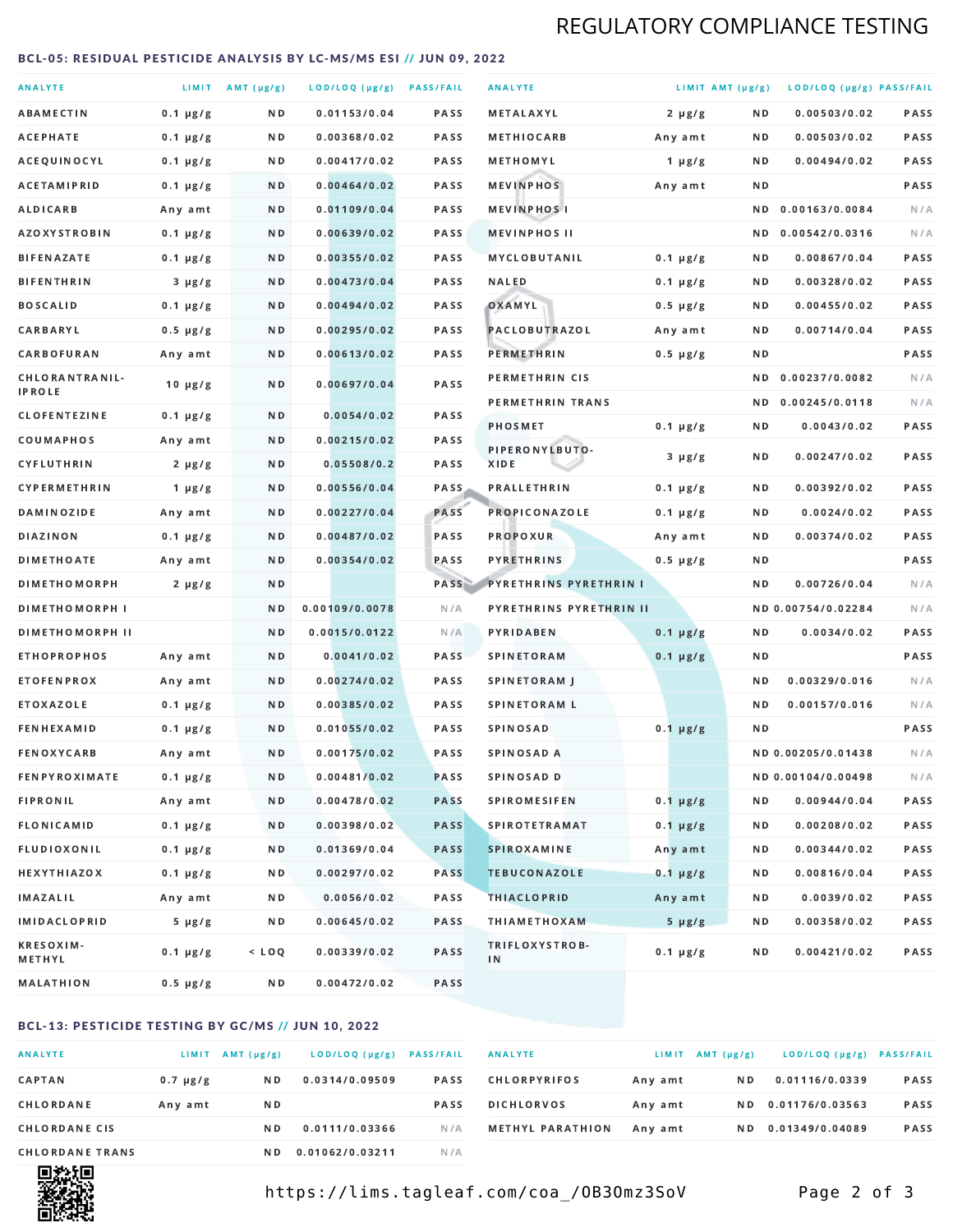# REGULATORY COMPLIANCE TESTING

#### <span id="page-1-0"></span>BCL-05: RESIDUAL PESTICIDE ANALYSIS BY LC-MS/MS ESI // JUN 09, 2022

| <b>ANALYTE</b>                  |               | LIMIT AMT (µg/g) | LOD/LOQ (µg/g) PASS/FAIL |             | <b>ANALYTE</b>                | LIMIT AMT (µg/g) |     | LOD/LOQ (µg/g) PASS/FAIL |             |
|---------------------------------|---------------|------------------|--------------------------|-------------|-------------------------------|------------------|-----|--------------------------|-------------|
| <b>ABAMECTIN</b>                | $0.1 \mu g/g$ | ND.              | 0.01153/0.04             | <b>PASS</b> | <b>METALAXYL</b>              | $2 \mu g/g$      | N D | 0.00503/0.02             | PASS        |
| ACEPHATE                        | $0.1 \mu g/g$ | N D              | 0.00368/0.02             | <b>PASS</b> | <b>METHIOCARB</b>             | Any amt          | N D | 0.00503/0.02             | PASS        |
| ACEQUINOCYL                     | $0.1 \mu g/g$ | N D              | 0.00417/0.02             | PASS        | METHOMYL                      | 1 $\mu$ g/g      | N D | 0.00494/0.02             | PASS        |
| <b>ACETAMIPRID</b>              | $0.1 \mu g/g$ | ND.              | 0.00464/0.02             | <b>PASS</b> | <b>MEVINPHOS</b>              | Any amt          | N D |                          | PASS        |
| <b>ALDICARB</b>                 | Any amt       | N D              | 0.01109/0.04             | <b>PASS</b> | <b>MEVINPHOSI</b>             |                  | N D | 0.00163/0.0084           | N/A         |
| <b>AZOXYSTROBIN</b>             | $0.1 \mu g/g$ | N D              | 0.00639/0.02             | <b>PASS</b> | <b>MEVINPHOS II</b>           |                  | ND. | 0.00542/0.0316           | N/A         |
| <b>BIFENAZATE</b>               | $0.1 \mu g/g$ | N D              | 0.00355/0.02             | <b>PASS</b> | <b>MYCLOBUTANIL</b>           | $0.1 \mu g/g$    | N D | 0.00867/0.04             | PASS        |
| <b>BIFENTHRIN</b>               | $3 \mu g/g$   | N D              | 0.00473/0.04             | <b>PASS</b> | <b>NALED</b>                  | $0.1 \mu g/g$    | N D | 0.00328/0.02             | PASS        |
| <b>BOSCALID</b>                 | $0.1 \mu g/g$ | ND.              | 0.00494/0.02             | PASS        | OXAMYL                        | $0.5 \mu g/g$    | N D | 0.00455/0.02             | <b>PASS</b> |
| CARBARYL                        | $0.5 \mu g/g$ | N D              | 0.00295/0.02             | PASS        | PACLOBUTRAZOL                 | Any amt          | N D | 0.00714/0.04             | PASS        |
| CARBOFURAN                      | Any amt       | N D              | 0.00613/0.02             | <b>PASS</b> | PERMETHRIN                    | $0.5 \mu g/g$    | N D |                          | PASS        |
| CHLORANTRANIL-<br><b>IPROLE</b> | $10 \mu g/g$  | N D              | 0.00697/0.04             | PASS        | PERMETHRIN CIS                |                  | N D | 0.00237/0.0082           | N/A         |
| <b>CLOFENTEZINE</b>             | $0.1 \mu g/g$ | ND               | 0.0054/0.02              | <b>PASS</b> | PERMETHRIN TRANS              |                  |     | ND 0.00245/0.0118        | N/A         |
| COUMAPHOS                       | Any amt       | N D              | 0.00215/0.02             | <b>PASS</b> | <b>PHOSMET</b>                | $0.1 \mu g/g$    | N D | 0.0043/0.02              | PASS        |
| CYFLUTHRIN                      | $2 \mu g/g$   | ND.              | 0.05508/0.2              | <b>PASS</b> | PIPERONYLBUTO-<br>XIDE        | $3 \mu g/g$      | N D | 0.00247/0.02             | PASS        |
| <b>CYPERMETHRIN</b>             | 1 $\mu$ g/g   | N D              | 0.00556/0.04             | <b>PASS</b> | <b>PRALLETHRIN</b>            | $0.1 \mu g/g$    | N D | 0.00392/0.02             | PASS        |
| <b>DAMINOZIDE</b>               | Any amt       | ND.              | 0.00227/0.04             | PASS        | PROPICONAZOLE                 | $0.1 \mu g/g$    | N D | 0.0024/0.02              | PASS        |
| <b>DIAZINON</b>                 | $0.1 \mu g/g$ | N D              | 0.00487/0.02             | <b>PASS</b> | <b>PROPOXUR</b>               | Any amt          | N D | 0.00374/0.02             | PASS        |
| <b>DIMETHOATE</b>               | Any amt       | N D              | 0.00354/0.02             | PASS        | <b>PYRETHRINS</b>             | $0.5 \mu g/g$    | N D |                          | PASS        |
| <b>DIMETHOMORPH</b>             | $2 \mu g/g$   | N D              |                          | PASS        | <b>PYRETHRINS PYRETHRIN I</b> |                  | N D | 0.00726/0.04             | N/A         |
| <b>DIMETHOMORPH I</b>           |               | N D              | 0.00109/0.0078           | N/A         | PYRETHRINS PYRETHRIN II       |                  |     | ND 0.00754/0.02284       | N/A         |
| <b>DIMETHOMORPH II</b>          |               | ND               | 0.0015/0.0122            | N/A         | PYRIDABEN                     | $0.1 \mu g/g$    | N D | 0.0034/0.02              | PASS        |
| <b>ETHOPROPHOS</b>              | Any amt       | ND.              | 0.0041/0.02              | PASS        | <b>SPINETORAM</b>             | $0.1 \mu g/g$    | N D |                          | PASS        |
| <b>ETOFENPROX</b>               | Any amt       | N D              | 0.00274/0.02             | <b>PASS</b> | SPINETORAM J                  |                  | N D | 0.00329/0.016            | N/A         |
| <b>ETOXAZOLE</b>                | $0.1 \mu g/g$ | ND.              | 0.00385/0.02             | <b>PASS</b> | <b>SPINETORAM L</b>           |                  | N D | 0.00157/0.016            | N/A         |
| <b>FENHEXAMID</b>               | $0.1 \mu g/g$ | N D              | 0.01055/0.02             | PASS        | <b>SPINOSAD</b>               | $0.1 \mu g/g$    | N D |                          | PASS        |
| <b>FENOXYCARB</b>               | Any amt       | N D              | 0.00175/0.02             | <b>PASS</b> | <b>SPINOSAD A</b>             |                  |     | ND 0.00205/0.01438       | N/A         |
| <b>FENPYROXIMATE</b>            | $0.1 \mu g/g$ | N D              | 0.00481/0.02             | <b>PASS</b> | SPINOSAD D                    |                  |     | ND 0.00104/0.00498       | N/A         |
| <b>FIPRONIL</b>                 | Any amt       | N D              | 0.00478/0.02             | <b>PASS</b> | <b>SPIROMESIFEN</b>           | $0.1 \mu g/g$    | N D | 0.00944/0.04             | PASS        |
| <b>FLONICAMID</b>               | $0.1 \mu g/g$ | N D              | 0.00398/0.02             | <b>PASS</b> | <b>SPIROTETRAMAT</b>          | $0.1 \mu g/g$    | N D | 0.00208/0.02             | PASS        |
| FLUDIOXONIL                     | $0.1 \mu g/g$ | N D              | 0.01369/0.04             | <b>PASS</b> | SPIROXAMINE                   | Any amt          | N D | 0.00344/0.02             | PASS        |
| <b>HEXYTHIAZOX</b>              | $0.1 \mu g/g$ | N D              | 0.00297/0.02             | PASS        | <b>TEBUCONAZOLE</b>           | $0.1 \mu g/g$    | N D | 0.00816/0.04             | PASS        |
| IMAZALIL                        | Any amt       | N D              | 0.0056/0.02              | PASS        | <b>THIACLOPRID</b>            | Any amt          | N D | 0.0039/0.02              | PASS        |
| <b>IMIDACLOPRID</b>             | $5 \mu g/g$   | N D              | 0.00645/0.02             | PASS        | <b>THIAMETHOXAM</b>           | $5 \mu g/g$      | N D | 0.00358/0.02             | PASS        |
| <b>KRESOXIM-</b><br>METHYL      | $0.1 \mu g/g$ | $<$ LOQ          | 0.00339/0.02             | PASS        | TRIFLOXYSTROB-<br>IN          | $0.1 \mu g/g$    | N D | 0.00421/0.02             | PASS        |
| <b>MALATHION</b>                | 0.5 µg/g      | N D              | 0.00472/0.02             | PASS        |                               |                  |     |                          |             |

#### BCL-13: PESTICIDE TESTING BY GC/MS // JUN 10, 2022

| <b>ANALYTE</b>         | LIMIT         | $AMT(\mu g/g)$ | LOD/LOQ (µg/g)  | <b>PASS/FAIL</b> |
|------------------------|---------------|----------------|-----------------|------------------|
| <b>CAPTAN</b>          | $0.7 \mu g/g$ | N D            | 0.0314/0.09509  | <b>PASS</b>      |
| CHLORDANE              | Any amt       | N D            |                 | <b>PASS</b>      |
| <b>CHLORDANE CIS</b>   |               | N D            | 0.0111/0.03366  | N/A              |
| <b>CHLORDANE TRANS</b> |               | N D            | 0.01062/0.03211 | N / A            |

| <b>ANALYTE</b>          | LIMIT   | $AMT(\mu g/g)$ | LOD/LOQ (µg/g)  | <b>PASS/FAIL</b> |
|-------------------------|---------|----------------|-----------------|------------------|
| <b>CHLORPYRIFOS</b>     | Any amt | N D            | 0.01116/0.0339  | <b>PASS</b>      |
| <b>DICHLORVOS</b>       | Any amt | N D            | 0.01176/0.03563 | <b>PASS</b>      |
| <b>METHYL PARATHION</b> | Any amt | N D            | 0.01349/0.04089 | <b>PASS</b>      |